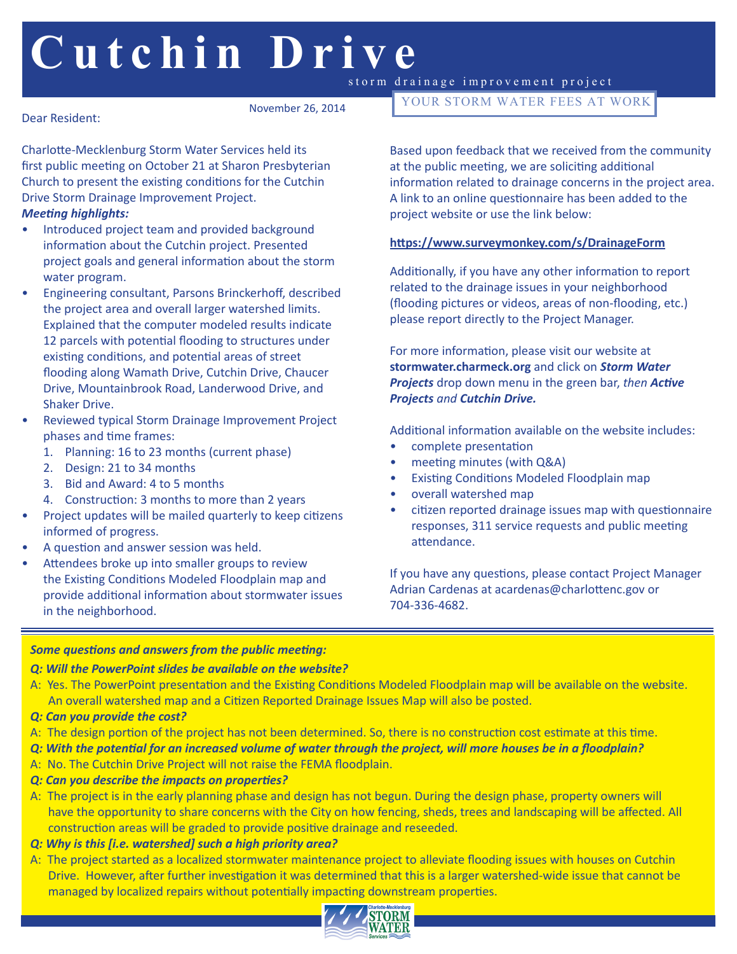# **Cutchin Drive** storm drainage improvement project

November 26, 2014

Dear Resident:

Charlotte-Mecklenburg Storm Water Services held its first public meeting on October 21 at Sharon Presbyterian Church to present the existing conditions for the Cutchin Drive Storm Drainage Improvement Project.

#### *Meeting highlights:*

- Introduced project team and provided background information about the Cutchin project. Presented project goals and general information about the storm water program.
- Engineering consultant, Parsons Brinckerhoff, described the project area and overall larger watershed limits. Explained that the computer modeled results indicate 12 parcels with potential flooding to structures under existing conditions, and potential areas of street flooding along Wamath Drive, Cutchin Drive, Chaucer Drive, Mountainbrook Road, Landerwood Drive, and Shaker Drive.
- Reviewed typical Storm Drainage Improvement Project phases and time frames:
	- 1. Planning: 16 to 23 months (current phase)
	- 2. Design: 21 to 34 months
	- 3. Bid and Award: 4 to 5 months
	- 4. Construction: 3 months to more than 2 years
- Project updates will be mailed quarterly to keep citizens informed of progress.
- A question and answer session was held.
- Attendees broke up into smaller groups to review the Existing Conditions Modeled Floodplain map and provide additional information about stormwater issues in the neighborhood.

YOUR STORM WATER FEES AT WORK

Based upon feedback that we received from the community at the public meeting, we are soliciting additional information related to drainage concerns in the project area. A link to an online questionnaire has been added to the project website or use the link below:

### **https://www.surveymonkey.com/s/DrainageForm**

Additionally, if you have any other information to report related to the drainage issues in your neighborhood (flooding pictures or videos, areas of non-flooding, etc.) please report directly to the Project Manager.

For more information, please visit our website at **stormwater.charmeck.org** and click on *Storm Water Projects* drop down menu in the green bar, *then Active Projects and Cutchin Drive.*

Additional information available on the website includes:

- complete presentation
- meeting minutes (with Q&A)
- Existing Conditions Modeled Floodplain map
- overall watershed map
- citizen reported drainage issues map with questionnaire responses, 311 service requests and public meeting attendance.

If you have any questions, please contact Project Manager Adrian Cardenas at acardenas@charlottenc.gov or 704-336-4682.

#### *Some questions and answers from the public meeting:*

#### *Q: Will the PowerPoint slides be available on the website?*

- A: Yes. The PowerPoint presentation and the Existing Conditions Modeled Floodplain map will be available on the website. An overall watershed map and a Citizen Reported Drainage Issues Map will also be posted.
- *Q: Can you provide the cost?*
- A: The design portion of the project has not been determined. So, there is no construction cost estimate at this time.
- *Q: With the potential for an increased volume of water through the project, will more houses be in a floodplain?*
- A: No. The Cutchin Drive Project will not raise the FEMA floodplain.
- *Q: Can you describe the impacts on properties?*
- A: The project is in the early planning phase and design has not begun. During the design phase, property owners will have the opportunity to share concerns with the City on how fencing, sheds, trees and landscaping will be affected. All construction areas will be graded to provide positive drainage and reseeded.
- *Q: Why is this [i.e. watershed] such a high priority area?*
- A: The project started as a localized stormwater maintenance project to alleviate flooding issues with houses on Cutchin Drive. However, after further investigation it was determined that this is a larger watershed-wide issue that cannot be managed by localized repairs without potentially impacting downstream properties.